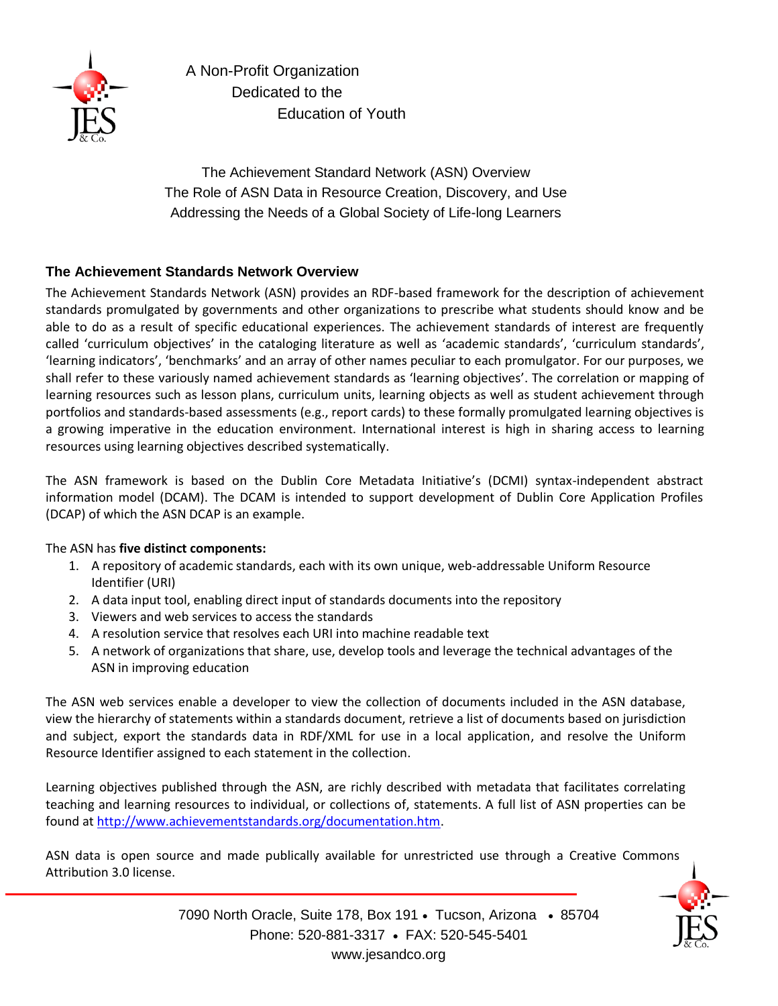

A Non-Profit Organization Dedicated to the Education of Youth

The Achievement Standard Network (ASN) Overview The Role of ASN Data in Resource Creation, Discovery, and Use Addressing the Needs of a Global Society of Life-long Learners

#### **The Achievement Standards Network Overview**

The Achievement Standards Network (ASN) provides an RDF-based framework for the description of achievement standards promulgated by governments and other organizations to prescribe what students should know and be able to do as a result of specific educational experiences. The achievement standards of interest are frequently called 'curriculum objectives' in the cataloging literature as well as 'academic standards', 'curriculum standards', 'learning indicators', 'benchmarks' and an array of other names peculiar to each promulgator. For our purposes, we shall refer to these variously named achievement standards as 'learning objectives'. The correlation or mapping of learning resources such as lesson plans, curriculum units, learning objects as well as student achievement through portfolios and standards-based assessments (e.g., report cards) to these formally promulgated learning objectives is a growing imperative in the education environment. International interest is high in sharing access to learning resources using learning objectives described systematically.

The ASN framework is based on the Dublin Core Metadata Initiative's (DCMI) syntax-independent abstract information model (DCAM). The DCAM is intended to support development of Dublin Core Application Profiles (DCAP) of which the ASN DCAP is an example.

#### The ASN has **five distinct components:**

- 1. A repository of academic standards, each with its own unique, web-addressable Uniform Resource Identifier (URI)
- 2. A data input tool, enabling direct input of standards documents into the repository
- 3. Viewers and web services to access the standards
- 4. A resolution service that resolves each URI into machine readable text
- 5. A network of organizations that share, use, develop tools and leverage the technical advantages of the ASN in improving education

The ASN web services enable a developer to view the collection of documents included in the ASN database, view the hierarchy of statements within a standards document, retrieve a list of documents based on jurisdiction and subject, export the standards data in RDF/XML for use in a local application, and resolve the Uniform Resource Identifier assigned to each statement in the collection.

Learning objectives published through the ASN, are richly described with metadata that facilitates correlating teaching and learning resources to individual, or collections of, statements. A full list of ASN properties can be found at [http://www.achievementstandards.org/documentation.htm.](http://www.achievementstandards.org/documentation.htm)

ASN data is open source and made publically available for unrestricted use through a Creative Commons Attribution 3.0 license.



7090 North Oracle, Suite 178, Box 191 · Tucson, Arizona · 85704 Phone: 520-881-3317 • FAX: 520-545-5401 www.jesandco.org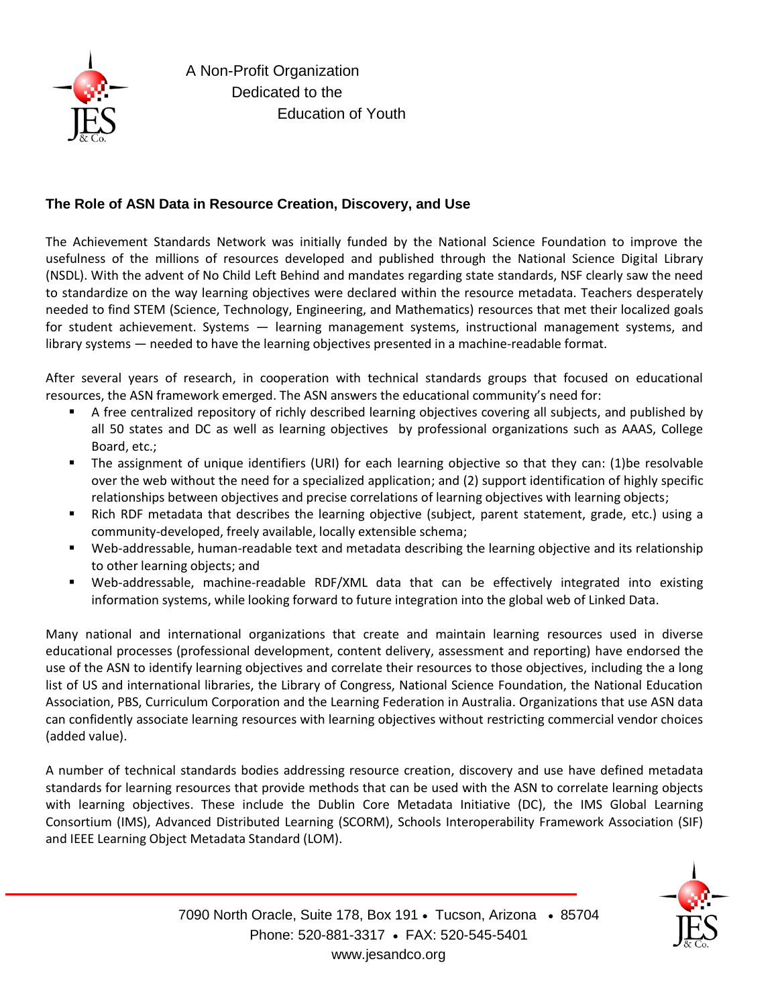

## **The Role of ASN Data in Resource Creation, Discovery, and Use**

The Achievement Standards Network was initially funded by the National Science Foundation to improve the usefulness of the millions of resources developed and published through the National Science Digital Library (NSDL). With the advent of No Child Left Behind and mandates regarding state standards, NSF clearly saw the need to standardize on the way learning objectives were declared within the resource metadata. Teachers desperately needed to find STEM (Science, Technology, Engineering, and Mathematics) resources that met their localized goals for student achievement. Systems — learning management systems, instructional management systems, and library systems — needed to have the learning objectives presented in a machine-readable format.

After several years of research, in cooperation with technical standards groups that focused on educational resources, the ASN framework emerged. The ASN answers the educational community's need for:

- A free centralized repository of richly described learning objectives covering all subjects, and published by all 50 states and DC as well as learning objectives by professional organizations such as AAAS, College Board, etc.;
- The assignment of unique identifiers (URI) for each learning objective so that they can: (1)be resolvable over the web without the need for a specialized application; and (2) support identification of highly specific relationships between objectives and precise correlations of learning objectives with learning objects;
- Rich RDF metadata that describes the learning objective (subject, parent statement, grade, etc.) using a community-developed, freely available, locally extensible schema;
- Web-addressable, human-readable text and metadata describing the learning objective and its relationship to other learning objects; and
- Web-addressable, machine-readable RDF/XML data that can be effectively integrated into existing information systems, while looking forward to future integration into the global web of Linked Data.

Many national and international organizations that create and maintain learning resources used in diverse educational processes (professional development, content delivery, assessment and reporting) have endorsed the use of the ASN to identify learning objectives and correlate their resources to those objectives, including the a long list of US and international libraries, the Library of Congress, National Science Foundation, the National Education Association, PBS, Curriculum Corporation and the Learning Federation in Australia. Organizations that use ASN data can confidently associate learning resources with learning objectives without restricting commercial vendor choices (added value).

A number of technical standards bodies addressing resource creation, discovery and use have defined metadata standards for learning resources that provide methods that can be used with the ASN to correlate learning objects with learning objectives. These include the Dublin Core Metadata Initiative (DC), the IMS Global Learning Consortium (IMS), Advanced Distributed Learning (SCORM), Schools Interoperability Framework Association (SIF) and IEEE Learning Object Metadata Standard (LOM).

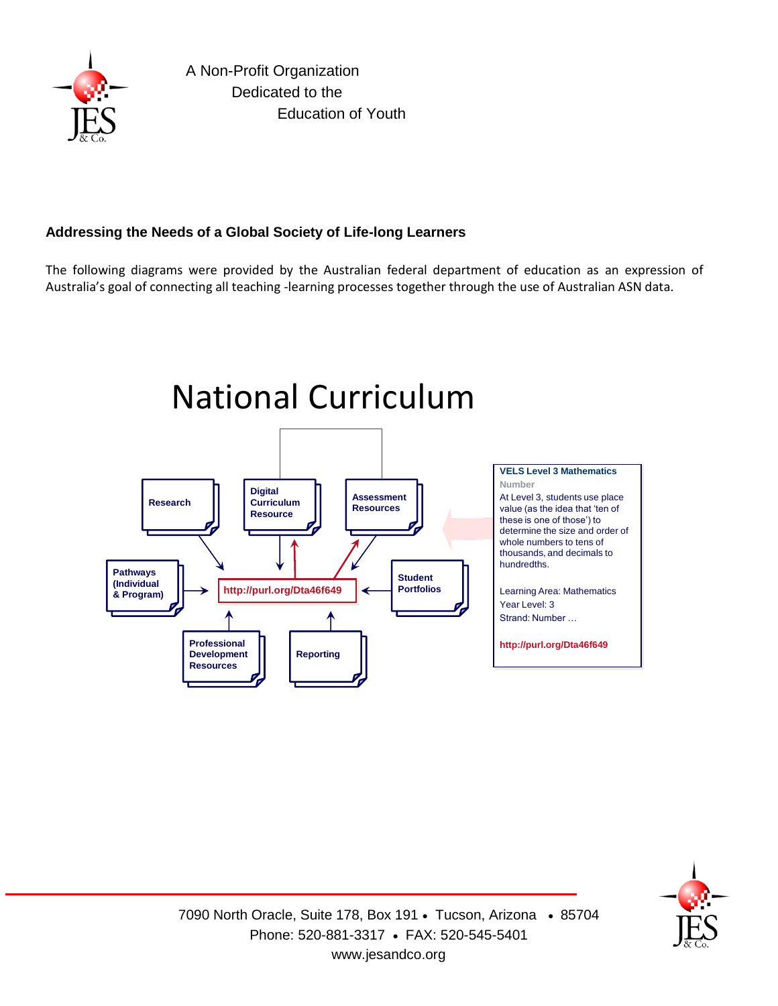

# **Addressing the Needs of a Global Society of Life-long Learners**

The following diagrams were provided by the Australian federal department of education as an expression of Australia's goal of connecting all teaching -learning processes together through the use of Australian ASN data.



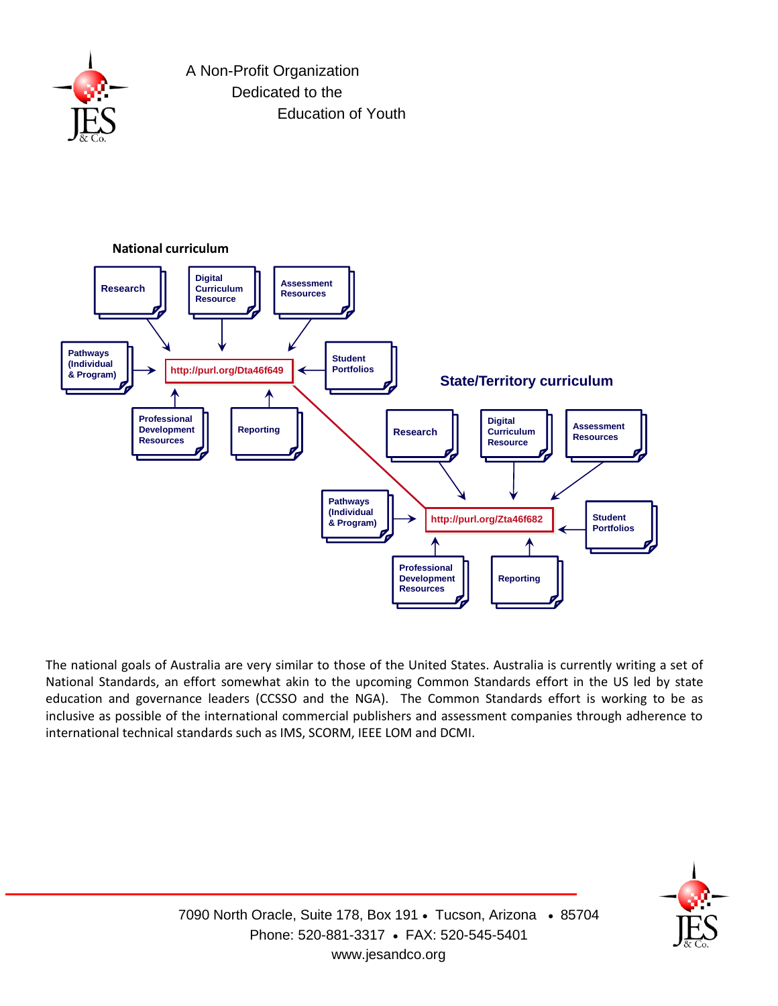

A Non-Profit Organization Dedicated to the Education of Youth



The national goals of Australia are very similar to those of the United States. Australia is currently writing a set of National Standards, an effort somewhat akin to the upcoming Common Standards effort in the US led by state education and governance leaders (CCSSO and the NGA). The Common Standards effort is working to be as inclusive as possible of the international commercial publishers and assessment companies through adherence to international technical standards such as IMS, SCORM, IEEE LOM and DCMI.